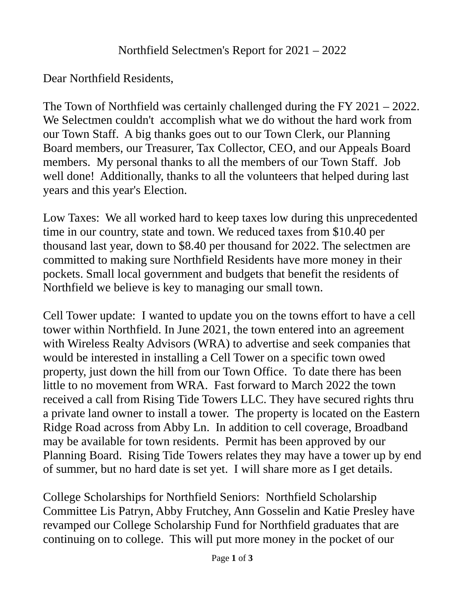## Northfield Selectmen's Report for 2021 – 2022

Dear Northfield Residents,

The Town of Northfield was certainly challenged during the FY 2021 – 2022. We Selectmen couldn't accomplish what we do without the hard work from our Town Staff. A big thanks goes out to our Town Clerk, our Planning Board members, our Treasurer, Tax Collector, CEO, and our Appeals Board members. My personal thanks to all the members of our Town Staff. Job well done! Additionally, thanks to all the volunteers that helped during last years and this year's Election.

Low Taxes: We all worked hard to keep taxes low during this unprecedented time in our country, state and town. We reduced taxes from \$10.40 per thousand last year, down to \$8.40 per thousand for 2022. The selectmen are committed to making sure Northfield Residents have more money in their pockets. Small local government and budgets that benefit the residents of Northfield we believe is key to managing our small town.

Cell Tower update: I wanted to update you on the towns effort to have a cell tower within Northfield. In June 2021, the town entered into an agreement with Wireless Realty Advisors (WRA) to advertise and seek companies that would be interested in installing a Cell Tower on a specific town owed property, just down the hill from our Town Office. To date there has been little to no movement from WRA. Fast forward to March 2022 the town received a call from Rising Tide Towers LLC. They have secured rights thru a private land owner to install a tower. The property is located on the Eastern Ridge Road across from Abby Ln. In addition to cell coverage, Broadband may be available for town residents. Permit has been approved by our Planning Board. Rising Tide Towers relates they may have a tower up by end of summer, but no hard date is set yet. I will share more as I get details.

College Scholarships for Northfield Seniors: Northfield Scholarship Committee Lis Patryn, Abby Frutchey, Ann Gosselin and Katie Presley have revamped our College Scholarship Fund for Northfield graduates that are continuing on to college. This will put more money in the pocket of our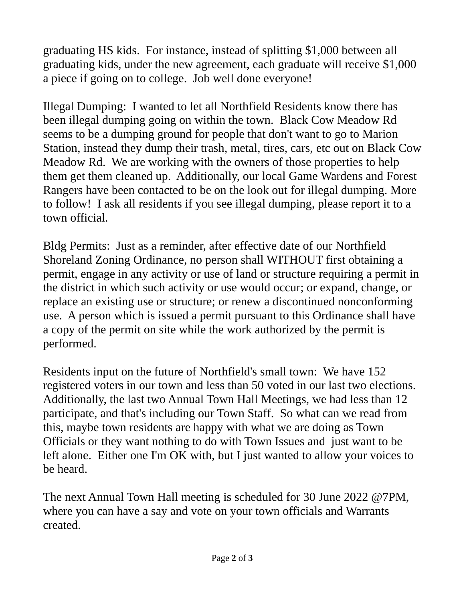graduating HS kids. For instance, instead of splitting \$1,000 between all graduating kids, under the new agreement, each graduate will receive \$1,000 a piece if going on to college. Job well done everyone!

Illegal Dumping: I wanted to let all Northfield Residents know there has been illegal dumping going on within the town. Black Cow Meadow Rd seems to be a dumping ground for people that don't want to go to Marion Station, instead they dump their trash, metal, tires, cars, etc out on Black Cow Meadow Rd. We are working with the owners of those properties to help them get them cleaned up. Additionally, our local Game Wardens and Forest Rangers have been contacted to be on the look out for illegal dumping. More to follow! I ask all residents if you see illegal dumping, please report it to a town official.

Bldg Permits: Just as a reminder, after effective date of our Northfield Shoreland Zoning Ordinance, no person shall WITHOUT first obtaining a permit, engage in any activity or use of land or structure requiring a permit in the district in which such activity or use would occur; or expand, change, or replace an existing use or structure; or renew a discontinued nonconforming use. A person which is issued a permit pursuant to this Ordinance shall have a copy of the permit on site while the work authorized by the permit is performed.

Residents input on the future of Northfield's small town: We have 152 registered voters in our town and less than 50 voted in our last two elections. Additionally, the last two Annual Town Hall Meetings, we had less than 12 participate, and that's including our Town Staff. So what can we read from this, maybe town residents are happy with what we are doing as Town Officials or they want nothing to do with Town Issues and just want to be left alone. Either one I'm OK with, but I just wanted to allow your voices to be heard.

The next Annual Town Hall meeting is scheduled for 30 June 2022 @7PM, where you can have a say and vote on your town officials and Warrants created.